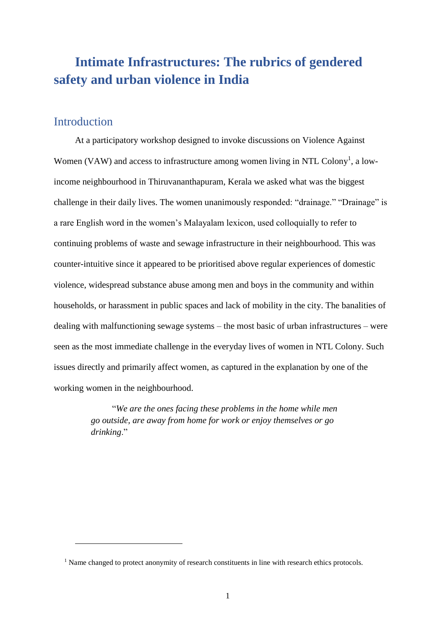# **Intimate Infrastructures: The rubrics of gendered safety and urban violence in India**

# **Introduction**

 $\overline{a}$ 

At a participatory workshop designed to invoke discussions on Violence Against Women (VAW) and access to infrastructure among women living in NTL Colony<sup>1</sup>, a lowincome neighbourhood in Thiruvananthapuram, Kerala we asked what was the biggest challenge in their daily lives. The women unanimously responded: "drainage." "Drainage" is a rare English word in the women's Malayalam lexicon, used colloquially to refer to continuing problems of waste and sewage infrastructure in their neighbourhood. This was counter-intuitive since it appeared to be prioritised above regular experiences of domestic violence, widespread substance abuse among men and boys in the community and within households, or harassment in public spaces and lack of mobility in the city. The banalities of dealing with malfunctioning sewage systems – the most basic of urban infrastructures – were seen as the most immediate challenge in the everyday lives of women in NTL Colony. Such issues directly and primarily affect women, as captured in the explanation by one of the working women in the neighbourhood.

> "*We are the ones facing these problems in the home while men go outside, are away from home for work or enjoy themselves or go drinking*."

 $<sup>1</sup>$  Name changed to protect anonymity of research constituents in line with research ethics protocols.</sup>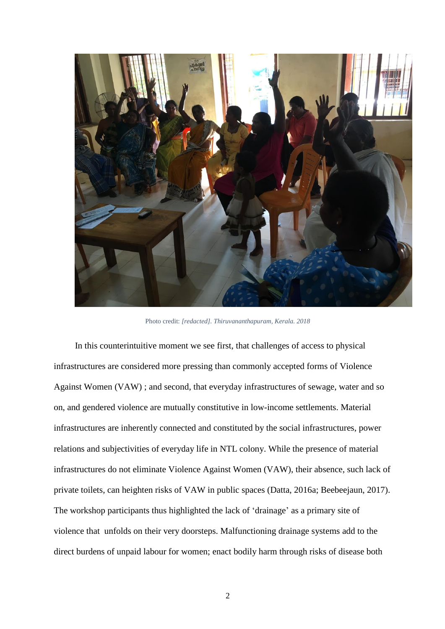

Photo credit: *[redacted]. Thiruvananthapuram, Kerala. 2018*

In this counterintuitive moment we see first, that challenges of access to physical infrastructures are considered more pressing than commonly accepted forms of Violence Against Women (VAW) ; and second, that everyday infrastructures of sewage, water and so on, and gendered violence are mutually constitutive in low-income settlements. Material infrastructures are inherently connected and constituted by the social infrastructures, power relations and subjectivities of everyday life in NTL colony. While the presence of material infrastructures do not eliminate Violence Against Women (VAW), their absence, such lack of private toilets, can heighten risks of VAW in public spaces (Datta, 2016a; Beebeejaun, 2017). The workshop participants thus highlighted the lack of 'drainage' as a primary site of violence that unfolds on their very doorsteps. Malfunctioning drainage systems add to the direct burdens of unpaid labour for women; enact bodily harm through risks of disease both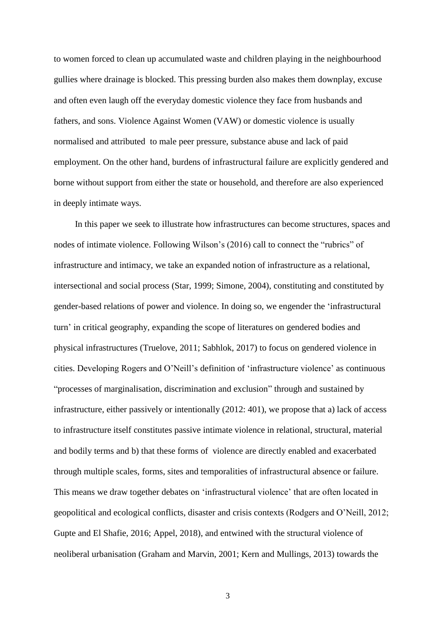to women forced to clean up accumulated waste and children playing in the neighbourhood gullies where drainage is blocked. This pressing burden also makes them downplay, excuse and often even laugh off the everyday domestic violence they face from husbands and fathers, and sons. Violence Against Women (VAW) or domestic violence is usually normalised and attributed to male peer pressure, substance abuse and lack of paid employment. On the other hand, burdens of infrastructural failure are explicitly gendered and borne without support from either the state or household, and therefore are also experienced in deeply intimate ways.

In this paper we seek to illustrate how infrastructures can become structures, spaces and nodes of intimate violence. Following Wilson's (2016) call to connect the "rubrics" of infrastructure and intimacy, we take an expanded notion of infrastructure as a relational, intersectional and social process (Star, 1999; Simone, 2004), constituting and constituted by gender-based relations of power and violence. In doing so, we engender the 'infrastructural turn' in critical geography, expanding the scope of literatures on gendered bodies and physical infrastructures (Truelove, 2011; Sabhlok, 2017) to focus on gendered violence in cities. Developing Rogers and O'Neill's definition of 'infrastructure violence' as continuous "processes of marginalisation, discrimination and exclusion" through and sustained by infrastructure, either passively or intentionally (2012: 401), we propose that a) lack of access to infrastructure itself constitutes passive intimate violence in relational, structural, material and bodily terms and b) that these forms of violence are directly enabled and exacerbated through multiple scales, forms, sites and temporalities of infrastructural absence or failure. This means we draw together debates on 'infrastructural violence' that are often located in geopolitical and ecological conflicts, disaster and crisis contexts (Rodgers and O'Neill, 2012; Gupte and El Shafie, 2016; Appel, 2018), and entwined with the structural violence of neoliberal urbanisation (Graham and Marvin, 2001; Kern and Mullings, 2013) towards the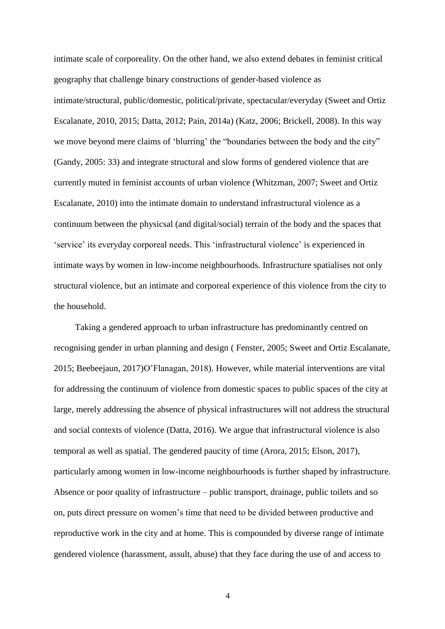intimate scale of corporeality. On the other hand, we also extend debates in feminist critical geography that challenge binary constructions of gender-based violence as intimate/structural, public/domestic, political/private, spectacular/everyday (Sweet and Ortiz Escalanate, 2010, 2015; Datta, 2012; Pain, 2014a) (Katz, 2006; Brickell, 2008). In this way we move beyond mere claims of 'blurring' the "boundaries between the body and the city" (Gandy, 2005: 33) and integrate structural and slow forms of gendered violence that are currently muted in feminist accounts of urban violence (Whitzman, 2007; Sweet and Ortiz Escalanate, 2010) into the intimate domain to understand infrastructural violence as a continuum between the physicsal (and digital/social) terrain of the body and the spaces that 'service' its everyday corporeal needs. This 'infrastructural violence' is experienced in intimate ways by women in low-income neighbourhoods. Infrastructure spatialises not only structural violence, but an intimate and corporeal experience of this violence from the city to the household.

Taking a gendered approach to urban infrastructure has predominantly centred on recognising gender in urban planning and design ( Fenster, 2005; Sweet and Ortiz Escalanate, 2015; Beebeejaun, 2017)O'Flanagan, 2018). However, while material interventions are vital for addressing the continuum of violence from domestic spaces to public spaces of the city at large, merely addressing the absence of physical infrastructures will not address the structural and social contexts of violence (Datta, 2016). We argue that infrastructural violence is also temporal as well as spatial. The gendered paucity of time (Arora, 2015; Elson, 2017), particularly among women in low-income neighbourhoods is further shaped by infrastructure. Absence or poor quality of infrastructure – public transport, drainage, public toilets and so on, puts direct pressure on women's time that need to be divided between productive and reproductive work in the city and at home. This is compounded by diverse range of intimate gendered violence (harassment, assult, abuse) that they face during the use of and access to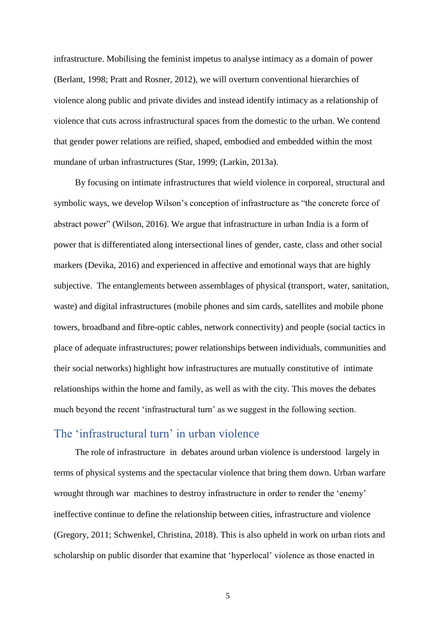infrastructure. Mobilising the feminist impetus to analyse intimacy as a domain of power (Berlant, 1998; Pratt and Rosner, 2012), we will overturn conventional hierarchies of violence along public and private divides and instead identify intimacy as a relationship of violence that cuts across infrastructural spaces from the domestic to the urban. We contend that gender power relations are reified, shaped, embodied and embedded within the most mundane of urban infrastructures (Star, 1999; (Larkin, 2013a).

By focusing on intimate infrastructures that wield violence in corporeal, structural and symbolic ways, we develop Wilson's conception of infrastructure as "the concrete force of abstract power" (Wilson, 2016). We argue that infrastructure in urban India is a form of power that is differentiated along intersectional lines of gender, caste, class and other social markers (Devika, 2016) and experienced in affective and emotional ways that are highly subjective. The entanglements between assemblages of physical (transport, water, sanitation, waste) and digital infrastructures (mobile phones and sim cards, satellites and mobile phone towers, broadband and fibre-optic cables, network connectivity) and people (social tactics in place of adequate infrastructures; power relationships between individuals, communities and their social networks) highlight how infrastructures are mutually constitutive of intimate relationships within the home and family, as well as with the city. This moves the debates much beyond the recent 'infrastructural turn' as we suggest in the following section.

## The 'infrastructural turn' in urban violence

The role of infrastructure in debates around urban violence is understood largely in terms of physical systems and the spectacular violence that bring them down. Urban warfare wrought through war machines to destroy infrastructure in order to render the 'enemy' ineffective continue to define the relationship between cities, infrastructure and violence (Gregory, 2011; Schwenkel, Christina, 2018). This is also upheld in work on urban riots and scholarship on public disorder that examine that 'hyperlocal' violence as those enacted in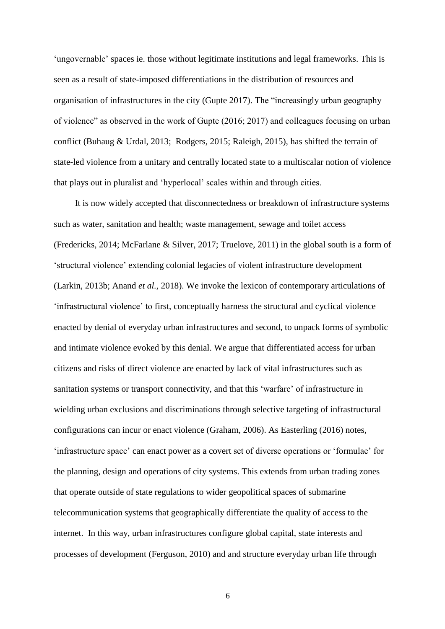'ungovernable' spaces ie. those without legitimate institutions and legal frameworks. This is seen as a result of state-imposed differentiations in the distribution of resources and organisation of infrastructures in the city (Gupte 2017). The "increasingly urban geography of violence" as observed in the work of Gupte (2016; 2017) and colleagues focusing on urban conflict (Buhaug & Urdal, 2013; Rodgers, 2015; Raleigh, 2015), has shifted the terrain of state-led violence from a unitary and centrally located state to a multiscalar notion of violence that plays out in pluralist and 'hyperlocal' scales within and through cities.

It is now widely accepted that disconnectedness or breakdown of infrastructure systems such as water, sanitation and health; waste management, sewage and toilet access (Fredericks, 2014; McFarlane & Silver, 2017; Truelove, 2011) in the global south is a form of 'structural violence' extending colonial legacies of violent infrastructure development (Larkin, 2013b; Anand *et al.*, 2018). We invoke the lexicon of contemporary articulations of 'infrastructural violence' to first, conceptually harness the structural and cyclical violence enacted by denial of everyday urban infrastructures and second, to unpack forms of symbolic and intimate violence evoked by this denial. We argue that differentiated access for urban citizens and risks of direct violence are enacted by lack of vital infrastructures such as sanitation systems or transport connectivity, and that this 'warfare' of infrastructure in wielding urban exclusions and discriminations through selective targeting of infrastructural configurations can incur or enact violence (Graham, 2006). As Easterling (2016) notes, 'infrastructure space' can enact power as a covert set of diverse operations or 'formulae' for the planning, design and operations of city systems. This extends from urban trading zones that operate outside of state regulations to wider geopolitical spaces of submarine telecommunication systems that geographically differentiate the quality of access to the internet. In this way, urban infrastructures configure global capital, state interests and processes of development (Ferguson, 2010) and and structure everyday urban life through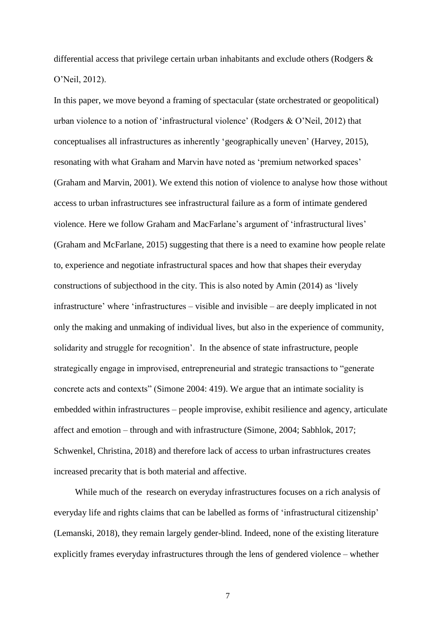differential access that privilege certain urban inhabitants and exclude others (Rodgers & O'Neil, 2012).

In this paper, we move beyond a framing of spectacular (state orchestrated or geopolitical) urban violence to a notion of 'infrastructural violence' (Rodgers & O'Neil, 2012) that conceptualises all infrastructures as inherently 'geographically uneven' (Harvey, 2015), resonating with what Graham and Marvin have noted as 'premium networked spaces' (Graham and Marvin, 2001). We extend this notion of violence to analyse how those without access to urban infrastructures see infrastructural failure as a form of intimate gendered violence. Here we follow Graham and MacFarlane's argument of 'infrastructural lives' (Graham and McFarlane, 2015) suggesting that there is a need to examine how people relate to, experience and negotiate infrastructural spaces and how that shapes their everyday constructions of subjecthood in the city. This is also noted by Amin (2014) as 'lively infrastructure' where 'infrastructures – visible and invisible – are deeply implicated in not only the making and unmaking of individual lives, but also in the experience of community, solidarity and struggle for recognition'. In the absence of state infrastructure, people strategically engage in improvised, entrepreneurial and strategic transactions to "generate concrete acts and contexts" (Simone 2004: 419). We argue that an intimate sociality is embedded within infrastructures – people improvise, exhibit resilience and agency, articulate affect and emotion – through and with infrastructure (Simone, 2004; Sabhlok, 2017; Schwenkel, Christina, 2018) and therefore lack of access to urban infrastructures creates increased precarity that is both material and affective.

While much of the research on everyday infrastructures focuses on a rich analysis of everyday life and rights claims that can be labelled as forms of 'infrastructural citizenship' (Lemanski, 2018), they remain largely gender-blind. Indeed, none of the existing literature explicitly frames everyday infrastructures through the lens of gendered violence – whether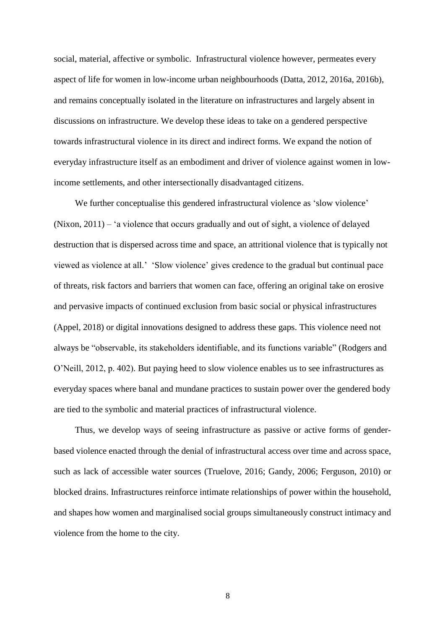social, material, affective or symbolic. Infrastructural violence however, permeates every aspect of life for women in low-income urban neighbourhoods (Datta, 2012, 2016a, 2016b), and remains conceptually isolated in the literature on infrastructures and largely absent in discussions on infrastructure. We develop these ideas to take on a gendered perspective towards infrastructural violence in its direct and indirect forms. We expand the notion of everyday infrastructure itself as an embodiment and driver of violence against women in lowincome settlements, and other intersectionally disadvantaged citizens.

We further conceptualise this gendered infrastructural violence as 'slow violence' (Nixon, 2011) – 'a violence that occurs gradually and out of sight, a violence of delayed destruction that is dispersed across time and space, an attritional violence that is typically not viewed as violence at all.' 'Slow violence' gives credence to the gradual but continual pace of threats, risk factors and barriers that women can face, offering an original take on erosive and pervasive impacts of continued exclusion from basic social or physical infrastructures (Appel, 2018) or digital innovations designed to address these gaps. This violence need not always be "observable, its stakeholders identifiable, and its functions variable" (Rodgers and O'Neill, 2012, p. 402). But paying heed to slow violence enables us to see infrastructures as everyday spaces where banal and mundane practices to sustain power over the gendered body are tied to the symbolic and material practices of infrastructural violence.

Thus, we develop ways of seeing infrastructure as passive or active forms of genderbased violence enacted through the denial of infrastructural access over time and across space, such as lack of accessible water sources (Truelove, 2016; Gandy, 2006; Ferguson, 2010) or blocked drains. Infrastructures reinforce intimate relationships of power within the household, and shapes how women and marginalised social groups simultaneously construct intimacy and violence from the home to the city.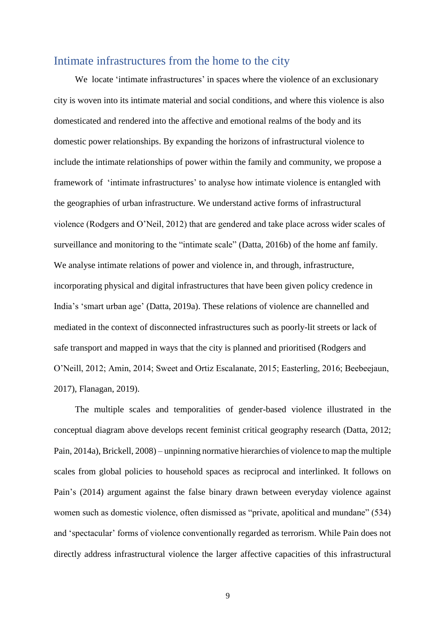# Intimate infrastructures from the home to the city

We locate 'intimate infrastructures' in spaces where the violence of an exclusionary city is woven into its intimate material and social conditions, and where this violence is also domesticated and rendered into the affective and emotional realms of the body and its domestic power relationships. By expanding the horizons of infrastructural violence to include the intimate relationships of power within the family and community, we propose a framework of 'intimate infrastructures' to analyse how intimate violence is entangled with the geographies of urban infrastructure. We understand active forms of infrastructural violence (Rodgers and O'Neil, 2012) that are gendered and take place across wider scales of surveillance and monitoring to the "intimate scale" (Datta, 2016b) of the home anf family. We analyse intimate relations of power and violence in, and through, infrastructure, incorporating physical and digital infrastructures that have been given policy credence in India's 'smart urban age' (Datta, 2019a). These relations of violence are channelled and mediated in the context of disconnected infrastructures such as poorly-lit streets or lack of safe transport and mapped in ways that the city is planned and prioritised (Rodgers and O'Neill, 2012; Amin, 2014; Sweet and Ortiz Escalanate, 2015; Easterling, 2016; Beebeejaun, 2017), Flanagan, 2019).

The multiple scales and temporalities of gender-based violence illustrated in the conceptual diagram above develops recent feminist critical geography research (Datta, 2012; Pain, 2014a), Brickell, 2008) – unpinning normative hierarchies of violence to map the multiple scales from global policies to household spaces as reciprocal and interlinked. It follows on Pain's (2014) argument against the false binary drawn between everyday violence against women such as domestic violence, often dismissed as "private, apolitical and mundane" (534) and 'spectacular' forms of violence conventionally regarded as terrorism. While Pain does not directly address infrastructural violence the larger affective capacities of this infrastructural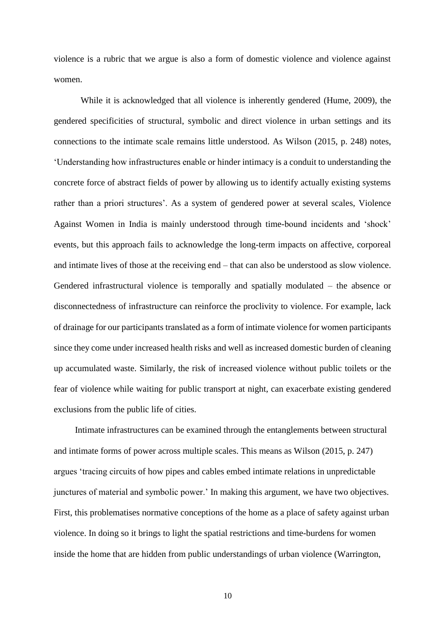violence is a rubric that we argue is also a form of domestic violence and violence against women.

While it is acknowledged that all violence is inherently gendered (Hume, 2009), the gendered specificities of structural, symbolic and direct violence in urban settings and its connections to the intimate scale remains little understood. As Wilson (2015, p. 248) notes, 'Understanding how infrastructures enable or hinder intimacy is a conduit to understanding the concrete force of abstract fields of power by allowing us to identify actually existing systems rather than a priori structures'. As a system of gendered power at several scales, Violence Against Women in India is mainly understood through time-bound incidents and 'shock' events, but this approach fails to acknowledge the long-term impacts on affective, corporeal and intimate lives of those at the receiving end – that can also be understood as slow violence. Gendered infrastructural violence is temporally and spatially modulated – the absence or disconnectedness of infrastructure can reinforce the proclivity to violence. For example, lack of drainage for our participants translated as a form of intimate violence for women participants since they come under increased health risks and well as increased domestic burden of cleaning up accumulated waste. Similarly, the risk of increased violence without public toilets or the fear of violence while waiting for public transport at night, can exacerbate existing gendered exclusions from the public life of cities.

Intimate infrastructures can be examined through the entanglements between structural and intimate forms of power across multiple scales. This means as Wilson (2015, p. 247) argues 'tracing circuits of how pipes and cables embed intimate relations in unpredictable junctures of material and symbolic power.' In making this argument, we have two objectives. First, this problematises normative conceptions of the home as a place of safety against urban violence. In doing so it brings to light the spatial restrictions and time-burdens for women inside the home that are hidden from public understandings of urban violence (Warrington,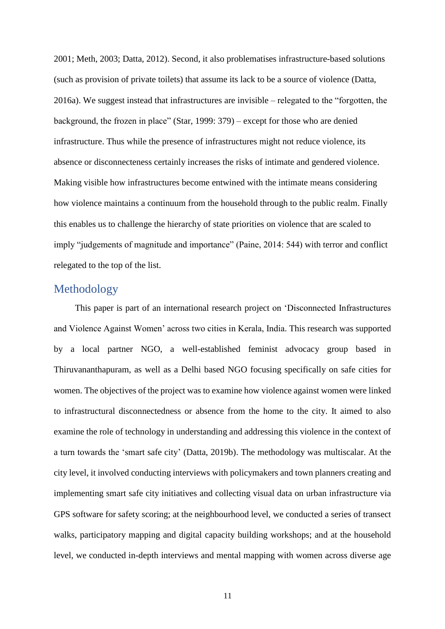2001; Meth, 2003; Datta, 2012). Second, it also problematises infrastructure-based solutions (such as provision of private toilets) that assume its lack to be a source of violence (Datta, 2016a). We suggest instead that infrastructures are invisible – relegated to the "forgotten, the background, the frozen in place" (Star, 1999: 379) – except for those who are denied infrastructure. Thus while the presence of infrastructures might not reduce violence, its absence or disconnecteness certainly increases the risks of intimate and gendered violence. Making visible how infrastructures become entwined with the intimate means considering how violence maintains a continuum from the household through to the public realm. Finally this enables us to challenge the hierarchy of state priorities on violence that are scaled to imply "judgements of magnitude and importance" (Paine, 2014: 544) with terror and conflict relegated to the top of the list.

#### Methodology

This paper is part of an international research project on 'Disconnected Infrastructures and Violence Against Women' across two cities in Kerala, India. This research was supported by a local partner NGO, a well-established feminist advocacy group based in Thiruvananthapuram, as well as a Delhi based NGO focusing specifically on safe cities for women. The objectives of the project was to examine how violence against women were linked to infrastructural disconnectedness or absence from the home to the city. It aimed to also examine the role of technology in understanding and addressing this violence in the context of a turn towards the 'smart safe city' (Datta, 2019b). The methodology was multiscalar. At the city level, it involved conducting interviews with policymakers and town planners creating and implementing smart safe city initiatives and collecting visual data on urban infrastructure via GPS software for safety scoring; at the neighbourhood level, we conducted a series of transect walks, participatory mapping and digital capacity building workshops; and at the household level, we conducted in-depth interviews and mental mapping with women across diverse age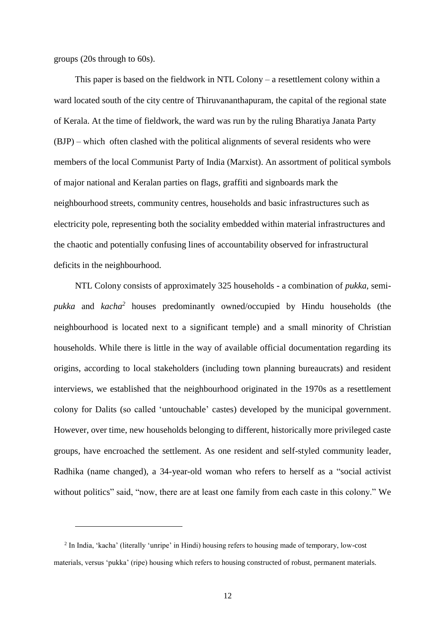groups (20s through to 60s).

 $\overline{a}$ 

This paper is based on the fieldwork in NTL Colony – a resettlement colony within a ward located south of the city centre of Thiruvananthapuram, the capital of the regional state of Kerala. At the time of fieldwork, the ward was run by the ruling Bharatiya Janata Party (BJP) – which often clashed with the political alignments of several residents who were members of the local Communist Party of India (Marxist). An assortment of political symbols of major national and Keralan parties on flags, graffiti and signboards mark the neighbourhood streets, community centres, households and basic infrastructures such as electricity pole, representing both the sociality embedded within material infrastructures and the chaotic and potentially confusing lines of accountability observed for infrastructural deficits in the neighbourhood.

NTL Colony consists of approximately 325 households - a combination of *pukka*, semipukka and *kacha*<sup>2</sup> houses predominantly owned/occupied by Hindu households (the neighbourhood is located next to a significant temple) and a small minority of Christian households. While there is little in the way of available official documentation regarding its origins, according to local stakeholders (including town planning bureaucrats) and resident interviews, we established that the neighbourhood originated in the 1970s as a resettlement colony for Dalits (so called 'untouchable' castes) developed by the municipal government. However, over time, new households belonging to different, historically more privileged caste groups, have encroached the settlement. As one resident and self-styled community leader, Radhika (name changed), a 34-year-old woman who refers to herself as a "social activist without politics" said, "now, there are at least one family from each caste in this colony." We

<sup>&</sup>lt;sup>2</sup> In India, 'kacha' (literally 'unripe' in Hindi) housing refers to housing made of temporary, low-cost materials, versus 'pukka' (ripe) housing which refers to housing constructed of robust, permanent materials.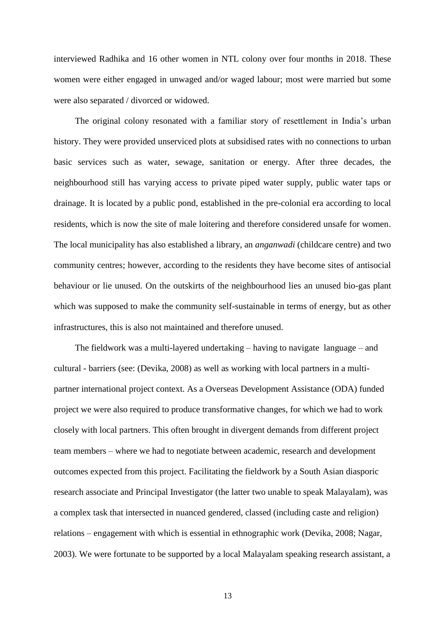interviewed Radhika and 16 other women in NTL colony over four months in 2018. These women were either engaged in unwaged and/or waged labour; most were married but some were also separated / divorced or widowed.

The original colony resonated with a familiar story of resettlement in India's urban history. They were provided unserviced plots at subsidised rates with no connections to urban basic services such as water, sewage, sanitation or energy. After three decades, the neighbourhood still has varying access to private piped water supply, public water taps or drainage. It is located by a public pond, established in the pre-colonial era according to local residents, which is now the site of male loitering and therefore considered unsafe for women. The local municipality has also established a library, an *anganwadi* (childcare centre) and two community centres; however, according to the residents they have become sites of antisocial behaviour or lie unused. On the outskirts of the neighbourhood lies an unused bio-gas plant which was supposed to make the community self-sustainable in terms of energy, but as other infrastructures, this is also not maintained and therefore unused.

The fieldwork was a multi-layered undertaking – having to navigate language – and cultural - barriers (see: (Devika, 2008) as well as working with local partners in a multipartner international project context. As a Overseas Development Assistance (ODA) funded project we were also required to produce transformative changes, for which we had to work closely with local partners. This often brought in divergent demands from different project team members – where we had to negotiate between academic, research and development outcomes expected from this project. Facilitating the fieldwork by a South Asian diasporic research associate and Principal Investigator (the latter two unable to speak Malayalam), was a complex task that intersected in nuanced gendered, classed (including caste and religion) relations – engagement with which is essential in ethnographic work (Devika, 2008; Nagar, 2003). We were fortunate to be supported by a local Malayalam speaking research assistant, a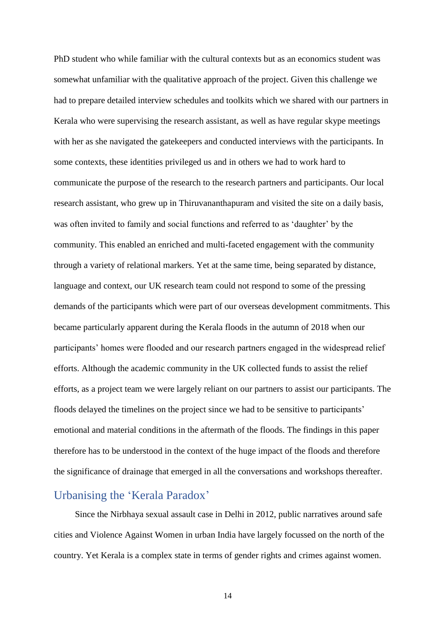PhD student who while familiar with the cultural contexts but as an economics student was somewhat unfamiliar with the qualitative approach of the project. Given this challenge we had to prepare detailed interview schedules and toolkits which we shared with our partners in Kerala who were supervising the research assistant, as well as have regular skype meetings with her as she navigated the gatekeepers and conducted interviews with the participants. In some contexts, these identities privileged us and in others we had to work hard to communicate the purpose of the research to the research partners and participants. Our local research assistant, who grew up in Thiruvananthapuram and visited the site on a daily basis, was often invited to family and social functions and referred to as 'daughter' by the community. This enabled an enriched and multi-faceted engagement with the community through a variety of relational markers. Yet at the same time, being separated by distance, language and context, our UK research team could not respond to some of the pressing demands of the participants which were part of our overseas development commitments. This became particularly apparent during the Kerala floods in the autumn of 2018 when our participants' homes were flooded and our research partners engaged in the widespread relief efforts. Although the academic community in the UK collected funds to assist the relief efforts, as a project team we were largely reliant on our partners to assist our participants. The floods delayed the timelines on the project since we had to be sensitive to participants' emotional and material conditions in the aftermath of the floods. The findings in this paper therefore has to be understood in the context of the huge impact of the floods and therefore the significance of drainage that emerged in all the conversations and workshops thereafter.

# Urbanising the 'Kerala Paradox'

Since the Nirbhaya sexual assault case in Delhi in 2012, public narratives around safe cities and Violence Against Women in urban India have largely focussed on the north of the country. Yet Kerala is a complex state in terms of gender rights and crimes against women.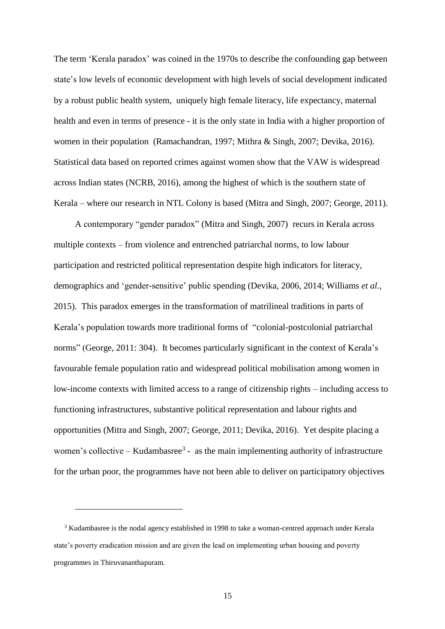The term 'Kerala paradox' was coined in the 1970s to describe the confounding gap between state's low levels of economic development with high levels of social development indicated by a robust public health system, uniquely high female literacy, life expectancy, maternal health and even in terms of presence - it is the only state in India with a higher proportion of women in their population (Ramachandran, 1997; Mithra & Singh, 2007; Devika, 2016). Statistical data based on reported crimes against women show that the VAW is widespread across Indian states (NCRB, 2016), among the highest of which is the southern state of Kerala – where our research in NTL Colony is based (Mitra and Singh, 2007; George, 2011).

A contemporary "gender paradox" (Mitra and Singh, 2007) recurs in Kerala across multiple contexts – from violence and entrenched patriarchal norms, to low labour participation and restricted political representation despite high indicators for literacy, demographics and 'gender-sensitive' public spending (Devika, 2006, 2014; Williams *et al.*, 2015). This paradox emerges in the transformation of matrilineal traditions in parts of Kerala's population towards more traditional forms of "colonial-postcolonial patriarchal norms" (George, 2011: 304). It becomes particularly significant in the context of Kerala's favourable female population ratio and widespread political mobilisation among women in low-income contexts with limited access to a range of citizenship rights – including access to functioning infrastructures, substantive political representation and labour rights and opportunities (Mitra and Singh, 2007; George, 2011; Devika, 2016). Yet despite placing a women's collective – Kudambasree<sup>3</sup> - as the main implementing authority of infrastructure for the urban poor, the programmes have not been able to deliver on participatory objectives

 $\overline{a}$ 

<sup>3</sup> Kudambasree is the nodal agency established in 1998 to take a woman-centred approach under Kerala state's poverty eradication mission and are given the lead on implementing urban housing and poverty programmes in Thiruvananthapuram.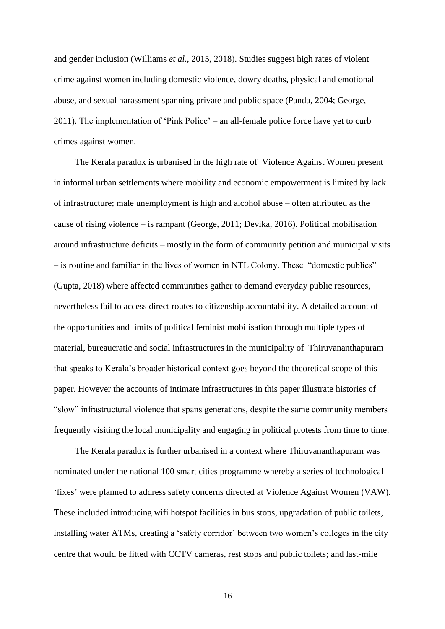and gender inclusion (Williams *et al.*, 2015, 2018). Studies suggest high rates of violent crime against women including domestic violence, dowry deaths, physical and emotional abuse, and sexual harassment spanning private and public space (Panda, 2004; George, 2011). The implementation of 'Pink Police' – an all-female police force have yet to curb crimes against women.

The Kerala paradox is urbanised in the high rate of Violence Against Women present in informal urban settlements where mobility and economic empowerment is limited by lack of infrastructure; male unemployment is high and alcohol abuse – often attributed as the cause of rising violence – is rampant (George, 2011; Devika, 2016). Political mobilisation around infrastructure deficits – mostly in the form of community petition and municipal visits – is routine and familiar in the lives of women in NTL Colony. These "domestic publics" (Gupta, 2018) where affected communities gather to demand everyday public resources, nevertheless fail to access direct routes to citizenship accountability. A detailed account of the opportunities and limits of political feminist mobilisation through multiple types of material, bureaucratic and social infrastructures in the municipality of Thiruvananthapuram that speaks to Kerala's broader historical context goes beyond the theoretical scope of this paper. However the accounts of intimate infrastructures in this paper illustrate histories of "slow" infrastructural violence that spans generations, despite the same community members frequently visiting the local municipality and engaging in political protests from time to time.

The Kerala paradox is further urbanised in a context where Thiruvananthapuram was nominated under the national 100 smart cities programme whereby a series of technological 'fixes' were planned to address safety concerns directed at Violence Against Women (VAW). These included introducing wifi hotspot facilities in bus stops, upgradation of public toilets, installing water ATMs, creating a 'safety corridor' between two women's colleges in the city centre that would be fitted with CCTV cameras, rest stops and public toilets; and last-mile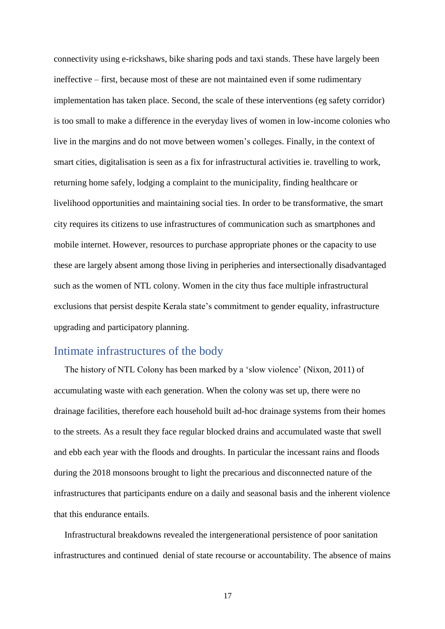connectivity using e-rickshaws, bike sharing pods and taxi stands. These have largely been ineffective – first, because most of these are not maintained even if some rudimentary implementation has taken place. Second, the scale of these interventions (eg safety corridor) is too small to make a difference in the everyday lives of women in low-income colonies who live in the margins and do not move between women's colleges. Finally, in the context of smart cities, digitalisation is seen as a fix for infrastructural activities ie. travelling to work, returning home safely, lodging a complaint to the municipality, finding healthcare or livelihood opportunities and maintaining social ties. In order to be transformative, the smart city requires its citizens to use infrastructures of communication such as smartphones and mobile internet. However, resources to purchase appropriate phones or the capacity to use these are largely absent among those living in peripheries and intersectionally disadvantaged such as the women of NTL colony. Women in the city thus face multiple infrastructural exclusions that persist despite Kerala state's commitment to gender equality, infrastructure upgrading and participatory planning.

# Intimate infrastructures of the body

The history of NTL Colony has been marked by a 'slow violence' (Nixon, 2011) of accumulating waste with each generation. When the colony was set up, there were no drainage facilities, therefore each household built ad-hoc drainage systems from their homes to the streets. As a result they face regular blocked drains and accumulated waste that swell and ebb each year with the floods and droughts. In particular the incessant rains and floods during the 2018 monsoons brought to light the precarious and disconnected nature of the infrastructures that participants endure on a daily and seasonal basis and the inherent violence that this endurance entails.

Infrastructural breakdowns revealed the intergenerational persistence of poor sanitation infrastructures and continued denial of state recourse or accountability. The absence of mains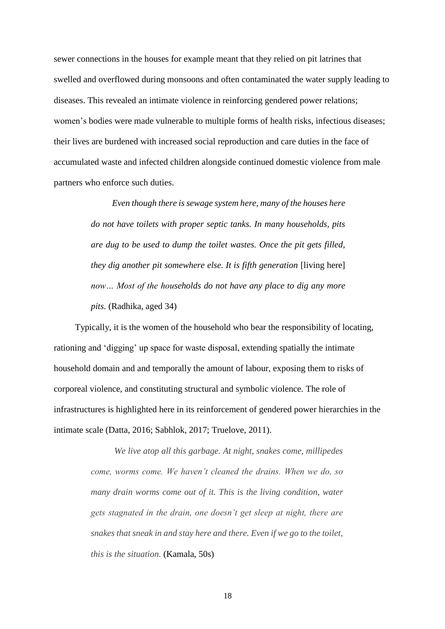sewer connections in the houses for example meant that they relied on pit latrines that swelled and overflowed during monsoons and often contaminated the water supply leading to diseases. This revealed an intimate violence in reinforcing gendered power relations; women's bodies were made vulnerable to multiple forms of health risks, infectious diseases; their lives are burdened with increased social reproduction and care duties in the face of accumulated waste and infected children alongside continued domestic violence from male partners who enforce such duties.

> *Even though there is sewage system here, many of the houses here do not have toilets with proper septic tanks. In many households, pits are dug to be used to dump the toilet wastes. Once the pit gets filled, they dig another pit somewhere else. It is fifth generation* [living here] *now… Most of the households do not have any place to dig any more pits.* (Radhika, aged 34)

Typically, it is the women of the household who bear the responsibility of locating, rationing and 'digging' up space for waste disposal, extending spatially the intimate household domain and and temporally the amount of labour, exposing them to risks of corporeal violence, and constituting structural and symbolic violence. The role of infrastructures is highlighted here in its reinforcement of gendered power hierarchies in the intimate scale (Datta, 2016; Sabhlok, 2017; Truelove, 2011).

> *We live atop all this garbage. At night, snakes come, millipedes come, worms come. We haven't cleaned the drains. When we do, so many drain worms come out of it. This is the living condition, water gets stagnated in the drain, one doesn't get sleep at night, there are snakes that sneak in and stay here and there. Even if we go to the toilet, this is the situation.* (Kamala, 50s)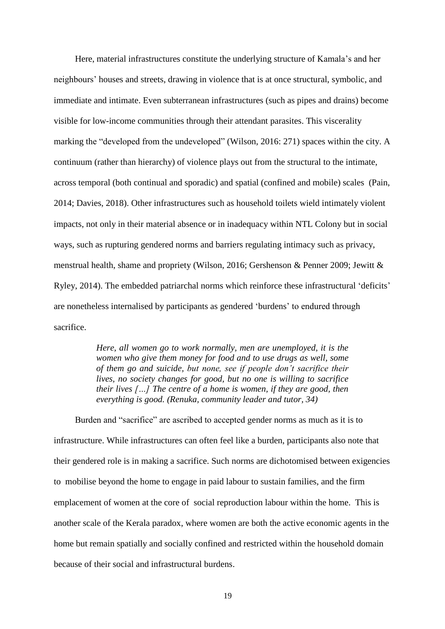Here, material infrastructures constitute the underlying structure of Kamala's and her neighbours' houses and streets, drawing in violence that is at once structural, symbolic, and immediate and intimate. Even subterranean infrastructures (such as pipes and drains) become visible for low-income communities through their attendant parasites. This viscerality marking the "developed from the undeveloped" (Wilson, 2016: 271) spaces within the city. A continuum (rather than hierarchy) of violence plays out from the structural to the intimate, across temporal (both continual and sporadic) and spatial (confined and mobile) scales (Pain, 2014; Davies, 2018). Other infrastructures such as household toilets wield intimately violent impacts, not only in their material absence or in inadequacy within NTL Colony but in social ways, such as rupturing gendered norms and barriers regulating intimacy such as privacy, menstrual health, shame and propriety (Wilson, 2016; Gershenson & Penner 2009; Jewitt & Ryley, 2014). The embedded patriarchal norms which reinforce these infrastructural 'deficits' are nonetheless internalised by participants as gendered 'burdens' to endured through sacrifice.

> *Here, all women go to work normally, men are unemployed, it is the women who give them money for food and to use drugs as well, some of them go and suicide, but none, see if people don't sacrifice their lives, no society changes for good, but no one is willing to sacrifice their lives […] The centre of a home is women, if they are good, then everything is good. (Renuka, community leader and tutor, 34)*

Burden and "sacrifice" are ascribed to accepted gender norms as much as it is to infrastructure. While infrastructures can often feel like a burden, participants also note that their gendered role is in making a sacrifice. Such norms are dichotomised between exigencies to mobilise beyond the home to engage in paid labour to sustain families, and the firm emplacement of women at the core of social reproduction labour within the home. This is another scale of the Kerala paradox, where women are both the active economic agents in the home but remain spatially and socially confined and restricted within the household domain because of their social and infrastructural burdens.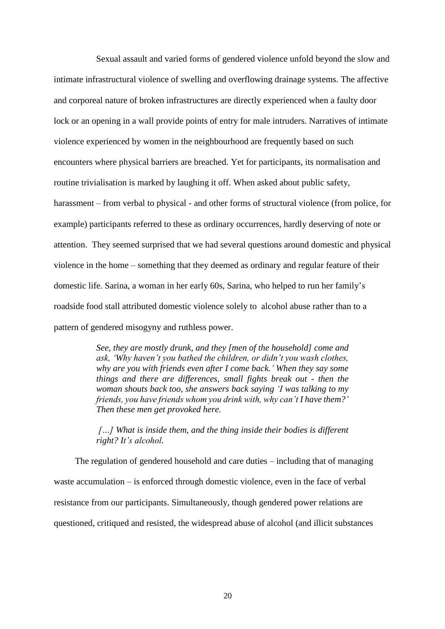Sexual assault and varied forms of gendered violence unfold beyond the slow and intimate infrastructural violence of swelling and overflowing drainage systems. The affective and corporeal nature of broken infrastructures are directly experienced when a faulty door lock or an opening in a wall provide points of entry for male intruders. Narratives of intimate violence experienced by women in the neighbourhood are frequently based on such encounters where physical barriers are breached. Yet for participants, its normalisation and routine trivialisation is marked by laughing it off. When asked about public safety, harassment – from verbal to physical - and other forms of structural violence (from police, for example) participants referred to these as ordinary occurrences, hardly deserving of note or attention. They seemed surprised that we had several questions around domestic and physical violence in the home – something that they deemed as ordinary and regular feature of their domestic life. Sarina, a woman in her early 60s, Sarina, who helped to run her family's roadside food stall attributed domestic violence solely to alcohol abuse rather than to a pattern of gendered misogyny and ruthless power.

> *See, they are mostly drunk, and they [men of the household] come and ask, 'Why haven't you bathed the children, or didn't you wash clothes, why are you with friends even after I come back.' When they say some things and there are differences, small fights break out - then the woman shouts back too, she answers back saying 'I was talking to my friends, you have friends whom you drink with, why can't I have them?' Then these men get provoked here.*

> *[…] What is inside them, and the thing inside their bodies is different right? It's alcohol.*

The regulation of gendered household and care duties – including that of managing waste accumulation – is enforced through domestic violence, even in the face of verbal resistance from our participants. Simultaneously, though gendered power relations are questioned, critiqued and resisted, the widespread abuse of alcohol (and illicit substances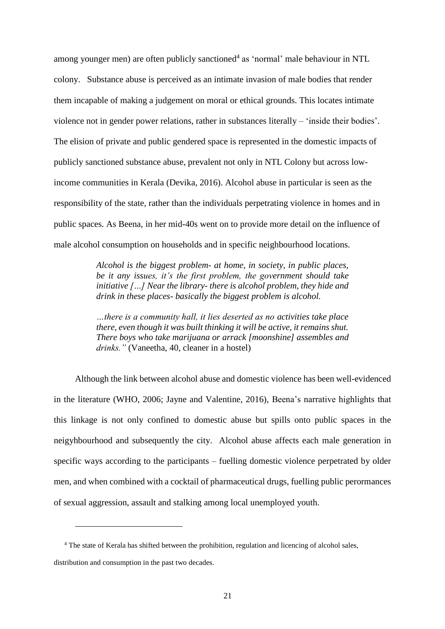among younger men) are often publicly sanctioned<sup>4</sup> as 'normal' male behaviour in NTL colony. Substance abuse is perceived as an intimate invasion of male bodies that render them incapable of making a judgement on moral or ethical grounds. This locates intimate violence not in gender power relations, rather in substances literally – 'inside their bodies'. The elision of private and public gendered space is represented in the domestic impacts of publicly sanctioned substance abuse, prevalent not only in NTL Colony but across lowincome communities in Kerala (Devika, 2016). Alcohol abuse in particular is seen as the responsibility of the state, rather than the individuals perpetrating violence in homes and in public spaces. As Beena, in her mid-40s went on to provide more detail on the influence of male alcohol consumption on households and in specific neighbourhood locations.

> *Alcohol is the biggest problem- at home, in society, in public places, be it any issues, it's the first problem, the government should take initiative […] Near the library- there is alcohol problem, they hide and drink in these places- basically the biggest problem is alcohol.*

> *…there is a community hall, it lies deserted as no activities take place there, even though it was built thinking it will be active, it remains shut. There boys who take marijuana or arrack [moonshine] assembles and drinks."* (Vaneetha, 40, cleaner in a hostel)

Although the link between alcohol abuse and domestic violence has been well-evidenced in the literature (WHO, 2006; Jayne and Valentine, 2016), Beena's narrative highlights that this linkage is not only confined to domestic abuse but spills onto public spaces in the neigyhbourhood and subsequently the city. Alcohol abuse affects each male generation in specific ways according to the participants – fuelling domestic violence perpetrated by older men, and when combined with a cocktail of pharmaceutical drugs, fuelling public perormances of sexual aggression, assault and stalking among local unemployed youth.

 $\overline{a}$ 

<sup>4</sup> The state of Kerala has shifted between the prohibition, regulation and licencing of alcohol sales,

distribution and consumption in the past two decades.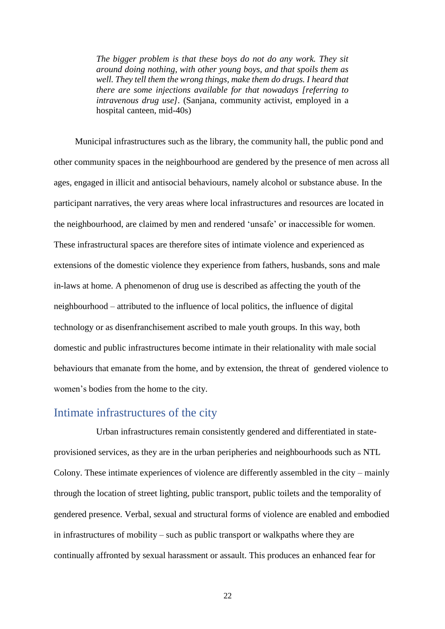*The bigger problem is that these boys do not do any work. They sit around doing nothing, with other young boys, and that spoils them as well. They tell them the wrong things, make them do drugs. I heard that there are some injections available for that nowadays [referring to intravenous drug use].* (Sanjana, community activist, employed in a hospital canteen, mid-40s)

Municipal infrastructures such as the library, the community hall, the public pond and other community spaces in the neighbourhood are gendered by the presence of men across all ages, engaged in illicit and antisocial behaviours, namely alcohol or substance abuse. In the participant narratives, the very areas where local infrastructures and resources are located in the neighbourhood, are claimed by men and rendered 'unsafe' or inaccessible for women. These infrastructural spaces are therefore sites of intimate violence and experienced as extensions of the domestic violence they experience from fathers, husbands, sons and male in-laws at home. A phenomenon of drug use is described as affecting the youth of the neighbourhood – attributed to the influence of local politics, the influence of digital technology or as disenfranchisement ascribed to male youth groups. In this way, both domestic and public infrastructures become intimate in their relationality with male social behaviours that emanate from the home, and by extension, the threat of gendered violence to women's bodies from the home to the city.

## Intimate infrastructures of the city

Urban infrastructures remain consistently gendered and differentiated in stateprovisioned services, as they are in the urban peripheries and neighbourhoods such as NTL Colony. These intimate experiences of violence are differently assembled in the city – mainly through the location of street lighting, public transport, public toilets and the temporality of gendered presence. Verbal, sexual and structural forms of violence are enabled and embodied in infrastructures of mobility – such as public transport or walkpaths where they are continually affronted by sexual harassment or assault. This produces an enhanced fear for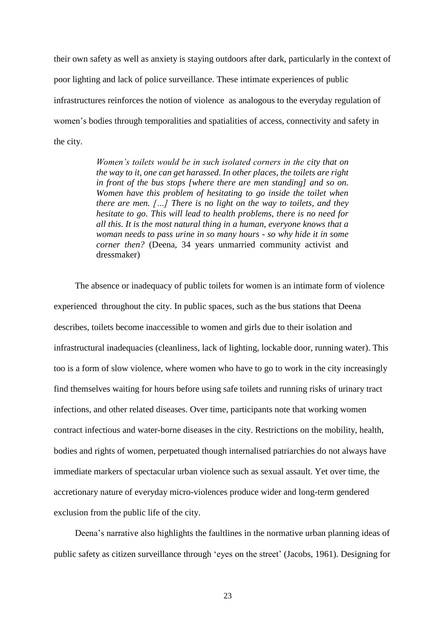their own safety as well as anxiety is staying outdoors after dark, particularly in the context of poor lighting and lack of police surveillance. These intimate experiences of public infrastructures reinforces the notion of violence as analogous to the everyday regulation of women's bodies through temporalities and spatialities of access, connectivity and safety in the city.

> *Women's toilets would be in such isolated corners in the city that on the way to it, one can get harassed. In other places, the toilets are right in front of the bus stops [where there are men standing] and so on. Women have this problem of hesitating to go inside the toilet when there are men. […] There is no light on the way to toilets, and they hesitate to go. This will lead to health problems, there is no need for all this. It is the most natural thing in a human, everyone knows that a woman needs to pass urine in so many hours - so why hide it in some corner then?* (Deena, 34 years unmarried community activist and dressmaker)

The absence or inadequacy of public toilets for women is an intimate form of violence experienced throughout the city. In public spaces, such as the bus stations that Deena describes, toilets become inaccessible to women and girls due to their isolation and infrastructural inadequacies (cleanliness, lack of lighting, lockable door, running water). This too is a form of slow violence, where women who have to go to work in the city increasingly find themselves waiting for hours before using safe toilets and running risks of urinary tract infections, and other related diseases. Over time, participants note that working women contract infectious and water-borne diseases in the city. Restrictions on the mobility, health, bodies and rights of women, perpetuated though internalised patriarchies do not always have immediate markers of spectacular urban violence such as sexual assault. Yet over time, the accretionary nature of everyday micro-violences produce wider and long-term gendered exclusion from the public life of the city.

Deena's narrative also highlights the faultlines in the normative urban planning ideas of public safety as citizen surveillance through 'eyes on the street' (Jacobs, 1961). Designing for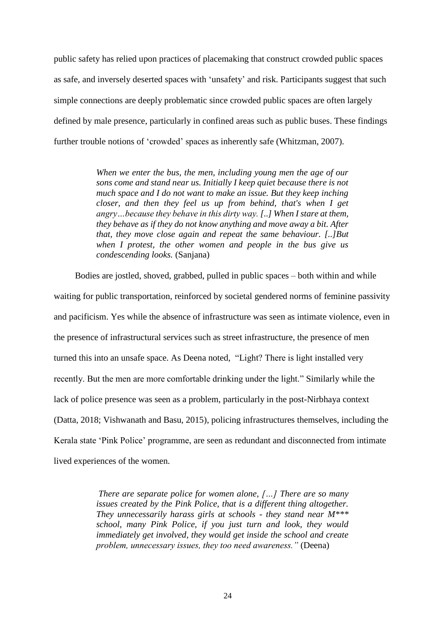public safety has relied upon practices of placemaking that construct crowded public spaces as safe, and inversely deserted spaces with 'unsafety' and risk. Participants suggest that such simple connections are deeply problematic since crowded public spaces are often largely defined by male presence, particularly in confined areas such as public buses. These findings further trouble notions of 'crowded' spaces as inherently safe (Whitzman, 2007).

> *When we enter the bus, the men, including young men the age of our sons come and stand near us. Initially I keep quiet because there is not much space and I do not want to make an issue. But they keep inching closer, and then they feel us up from behind, that's when I get angry…because they behave in this dirty way. [..] When I stare at them, they behave as if they do not know anything and move away a bit. After that, they move close again and repeat the same behaviour. [..]But when I protest, the other women and people in the bus give us condescending looks.* (Sanjana)

Bodies are jostled, shoved, grabbed, pulled in public spaces – both within and while

waiting for public transportation, reinforced by societal gendered norms of feminine passivity and pacificism. Yes while the absence of infrastructure was seen as intimate violence, even in the presence of infrastructural services such as street infrastructure, the presence of men turned this into an unsafe space. As Deena noted, "Light? There is light installed very recently. But the men are more comfortable drinking under the light." Similarly while the lack of police presence was seen as a problem, particularly in the post-Nirbhaya context (Datta, 2018; Vishwanath and Basu, 2015), policing infrastructures themselves, including the Kerala state 'Pink Police' programme, are seen as redundant and disconnected from intimate lived experiences of the women.

> *There are separate police for women alone, […] There are so many issues created by the Pink Police, that is a different thing altogether. They unnecessarily harass girls at schools - they stand near M\*\*\* school, many Pink Police, if you just turn and look, they would immediately get involved, they would get inside the school and create problem, unnecessary issues, they too need awareness."* (Deena)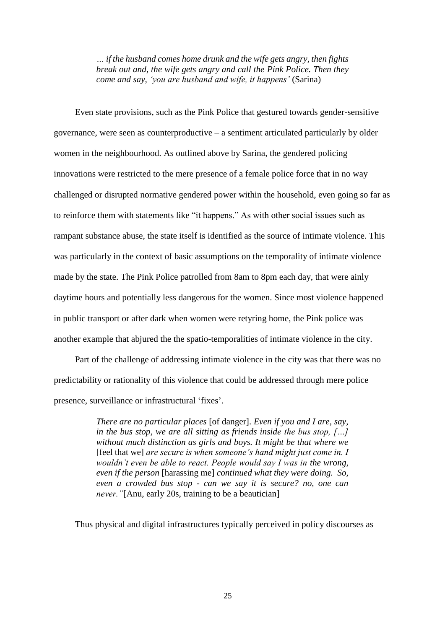*… if the husband comes home drunk and the wife gets angry, then fights break out and, the wife gets angry and call the Pink Police. Then they come and say, 'you are husband and wife, it happens'* (Sarina)

Even state provisions, such as the Pink Police that gestured towards gender-sensitive governance, were seen as counterproductive – a sentiment articulated particularly by older women in the neighbourhood. As outlined above by Sarina, the gendered policing innovations were restricted to the mere presence of a female police force that in no way challenged or disrupted normative gendered power within the household, even going so far as to reinforce them with statements like "it happens." As with other social issues such as rampant substance abuse, the state itself is identified as the source of intimate violence. This was particularly in the context of basic assumptions on the temporality of intimate violence made by the state. The Pink Police patrolled from 8am to 8pm each day, that were ainly daytime hours and potentially less dangerous for the women. Since most violence happened in public transport or after dark when women were retyring home, the Pink police was another example that abjured the the spatio-temporalities of intimate violence in the city.

Part of the challenge of addressing intimate violence in the city was that there was no predictability or rationality of this violence that could be addressed through mere police presence, surveillance or infrastructural 'fixes'.

> *There are no particular places* [of danger]. *Even if you and I are, say, in the bus stop, we are all sitting as friends inside the bus stop, […] without much distinction as girls and boys. It might be that where we*  [feel that we] *are secure is when someone's hand might just come in. I wouldn't even be able to react. People would say I was in the wrong, even if the person* [harassing me] *continued what they were doing. So, even a crowded bus stop - can we say it is secure? no, one can never."*[Anu, early 20s, training to be a beautician]

Thus physical and digital infrastructures typically perceived in policy discourses as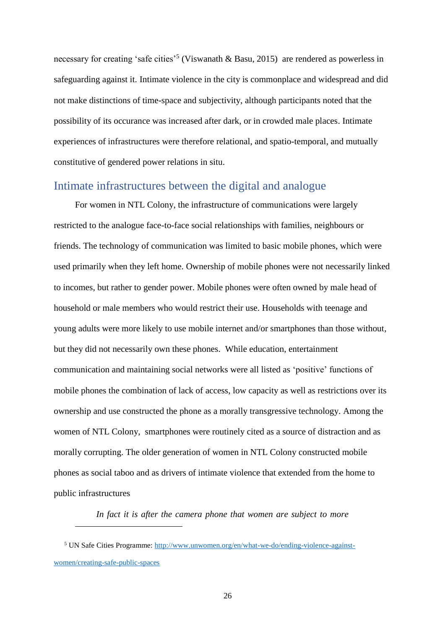necessary for creating 'safe cities'<sup>5</sup> (Viswanath & Basu, 2015) are rendered as powerless in safeguarding against it. Intimate violence in the city is commonplace and widespread and did not make distinctions of time-space and subjectivity, although participants noted that the possibility of its occurance was increased after dark, or in crowded male places. Intimate experiences of infrastructures were therefore relational, and spatio-temporal, and mutually constitutive of gendered power relations in situ.

## Intimate infrastructures between the digital and analogue

For women in NTL Colony, the infrastructure of communications were largely restricted to the analogue face-to-face social relationships with families, neighbours or friends. The technology of communication was limited to basic mobile phones, which were used primarily when they left home. Ownership of mobile phones were not necessarily linked to incomes, but rather to gender power. Mobile phones were often owned by male head of household or male members who would restrict their use. Households with teenage and young adults were more likely to use mobile internet and/or smartphones than those without, but they did not necessarily own these phones. While education, entertainment communication and maintaining social networks were all listed as 'positive' functions of mobile phones the combination of lack of access, low capacity as well as restrictions over its ownership and use constructed the phone as a morally transgressive technology. Among the women of NTL Colony, smartphones were routinely cited as a source of distraction and as morally corrupting. The older generation of women in NTL Colony constructed mobile phones as social taboo and as drivers of intimate violence that extended from the home to public infrastructures

*In fact it is after the camera phone that women are subject to more* 

 $\overline{a}$ 

<sup>5</sup> UN Safe Cities Programme: [http://www.unwomen.org/en/what-we-do/ending-violence-against](http://www.unwomen.org/en/what-we-do/ending-violence-against-women/creating-safe-public-spaces)[women/creating-safe-public-spaces](http://www.unwomen.org/en/what-we-do/ending-violence-against-women/creating-safe-public-spaces)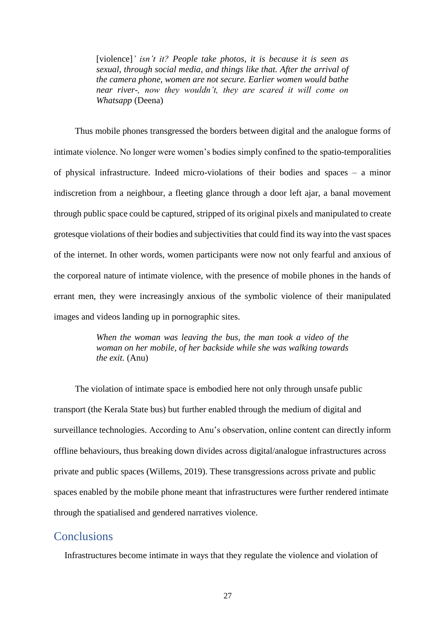[violence]*' isn't it? People take photos, it is because it is seen as sexual, through social media, and things like that. After the arrival of the camera phone, women are not secure. Earlier women would bathe near river-, now they wouldn't, they are scared it will come on Whatsapp* (Deena)

Thus mobile phones transgressed the borders between digital and the analogue forms of intimate violence. No longer were women's bodies simply confined to the spatio-temporalities of physical infrastructure. Indeed micro-violations of their bodies and spaces – a minor indiscretion from a neighbour, a fleeting glance through a door left ajar, a banal movement through public space could be captured, stripped of its original pixels and manipulated to create grotesque violations of their bodies and subjectivities that could find its way into the vast spaces of the internet. In other words, women participants were now not only fearful and anxious of the corporeal nature of intimate violence, with the presence of mobile phones in the hands of errant men, they were increasingly anxious of the symbolic violence of their manipulated images and videos landing up in pornographic sites.

> *When the woman was leaving the bus, the man took a video of the woman on her mobile, of her backside while she was walking towards the exit.* (Anu)

The violation of intimate space is embodied here not only through unsafe public transport (the Kerala State bus) but further enabled through the medium of digital and surveillance technologies. According to Anu's observation, online content can directly inform offline behaviours, thus breaking down divides across digital/analogue infrastructures across private and public spaces (Willems, 2019). These transgressions across private and public spaces enabled by the mobile phone meant that infrastructures were further rendered intimate through the spatialised and gendered narratives violence.

### **Conclusions**

Infrastructures become intimate in ways that they regulate the violence and violation of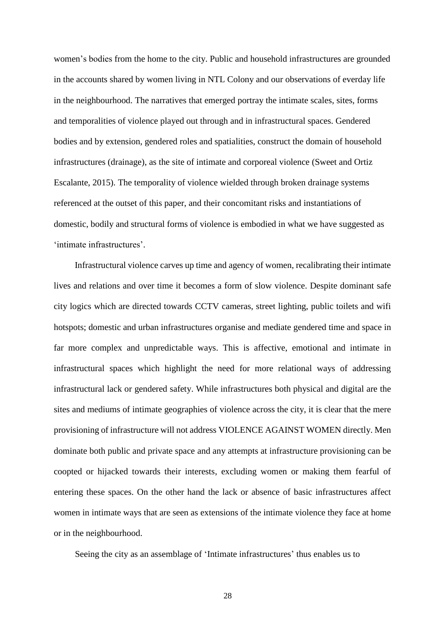women's bodies from the home to the city. Public and household infrastructures are grounded in the accounts shared by women living in NTL Colony and our observations of everday life in the neighbourhood. The narratives that emerged portray the intimate scales, sites, forms and temporalities of violence played out through and in infrastructural spaces. Gendered bodies and by extension, gendered roles and spatialities, construct the domain of household infrastructures (drainage), as the site of intimate and corporeal violence (Sweet and Ortiz Escalante, 2015). The temporality of violence wielded through broken drainage systems referenced at the outset of this paper, and their concomitant risks and instantiations of domestic, bodily and structural forms of violence is embodied in what we have suggested as 'intimate infrastructures'.

Infrastructural violence carves up time and agency of women, recalibrating their intimate lives and relations and over time it becomes a form of slow violence. Despite dominant safe city logics which are directed towards CCTV cameras, street lighting, public toilets and wifi hotspots; domestic and urban infrastructures organise and mediate gendered time and space in far more complex and unpredictable ways. This is affective, emotional and intimate in infrastructural spaces which highlight the need for more relational ways of addressing infrastructural lack or gendered safety. While infrastructures both physical and digital are the sites and mediums of intimate geographies of violence across the city, it is clear that the mere provisioning of infrastructure will not address VIOLENCE AGAINST WOMEN directly. Men dominate both public and private space and any attempts at infrastructure provisioning can be coopted or hijacked towards their interests, excluding women or making them fearful of entering these spaces. On the other hand the lack or absence of basic infrastructures affect women in intimate ways that are seen as extensions of the intimate violence they face at home or in the neighbourhood.

Seeing the city as an assemblage of 'Intimate infrastructures' thus enables us to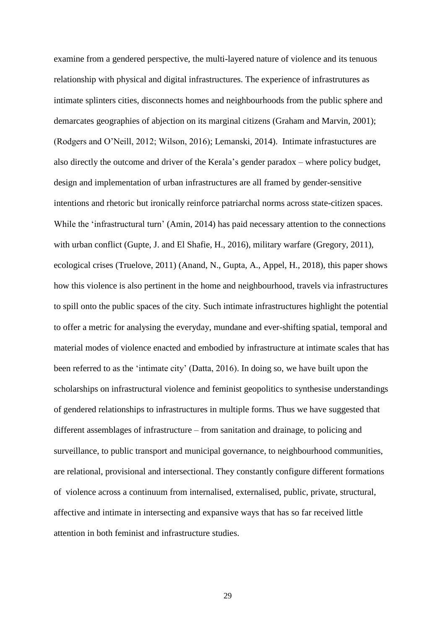examine from a gendered perspective, the multi-layered nature of violence and its tenuous relationship with physical and digital infrastructures. The experience of infrastrutures as intimate splinters cities, disconnects homes and neighbourhoods from the public sphere and demarcates geographies of abjection on its marginal citizens (Graham and Marvin, 2001); (Rodgers and O'Neill, 2012; Wilson, 2016); Lemanski, 2014). Intimate infrastuctures are also directly the outcome and driver of the Kerala's gender paradox – where policy budget, design and implementation of urban infrastructures are all framed by gender-sensitive intentions and rhetoric but ironically reinforce patriarchal norms across state-citizen spaces. While the 'infrastructural turn' (Amin, 2014) has paid necessary attention to the connections with urban conflict (Gupte, J. and El Shafie, H., 2016), military warfare (Gregory, 2011), ecological crises (Truelove, 2011) (Anand, N., Gupta, A., Appel, H., 2018), this paper shows how this violence is also pertinent in the home and neighbourhood, travels via infrastructures to spill onto the public spaces of the city. Such intimate infrastructures highlight the potential to offer a metric for analysing the everyday, mundane and ever-shifting spatial, temporal and material modes of violence enacted and embodied by infrastructure at intimate scales that has been referred to as the 'intimate city' (Datta, 2016). In doing so, we have built upon the scholarships on infrastructural violence and feminist geopolitics to synthesise understandings of gendered relationships to infrastructures in multiple forms. Thus we have suggested that different assemblages of infrastructure – from sanitation and drainage, to policing and surveillance, to public transport and municipal governance, to neighbourhood communities, are relational, provisional and intersectional. They constantly configure different formations of violence across a continuum from internalised, externalised, public, private, structural, affective and intimate in intersecting and expansive ways that has so far received little attention in both feminist and infrastructure studies.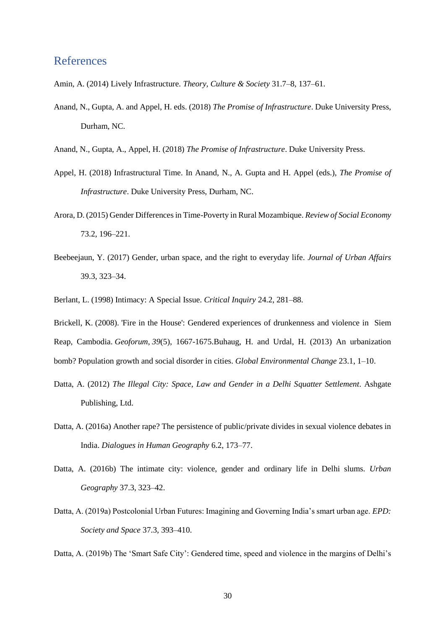## References

Amin, A. (2014) Lively Infrastructure. *Theory, Culture & Society* 31.7–8, 137–61.

- Anand, N., Gupta, A. and Appel, H. eds. (2018) *The Promise of Infrastructure*. Duke University Press, Durham, NC.
- Anand, N., Gupta, A., Appel, H. (2018) *The Promise of Infrastructure*. Duke University Press.
- Appel, H. (2018) Infrastructural Time. In Anand, N., A. Gupta and H. Appel (eds.), *The Promise of Infrastructure*. Duke University Press, Durham, NC.
- Arora, D. (2015) Gender Differences in Time-Poverty in Rural Mozambique. *Review of Social Economy* 73.2, 196–221.
- Beebeejaun, Y. (2017) Gender, urban space, and the right to everyday life. *Journal of Urban Affairs* 39.3, 323–34.
- Berlant, L. (1998) Intimacy: A Special Issue. *Critical Inquiry* 24.2, 281–88.

Brickell, K. (2008). 'Fire in the House': Gendered experiences of drunkenness and violence in Siem Reap, Cambodia. *Geoforum*, *39*(5), 1667-1675.Buhaug, H. and Urdal, H. (2013) An urbanization bomb? Population growth and social disorder in cities. *Global Environmental Change* 23.1, 1–10.

- Datta, A. (2012) *The Illegal City: Space, Law and Gender in a Delhi Squatter Settlement*. Ashgate Publishing, Ltd.
- Datta, A. (2016a) Another rape? The persistence of public/private divides in sexual violence debates in India. *Dialogues in Human Geography* 6.2, 173–77.
- Datta, A. (2016b) The intimate city: violence, gender and ordinary life in Delhi slums. *Urban Geography* 37.3, 323–42.
- Datta, A. (2019a) Postcolonial Urban Futures: Imagining and Governing India's smart urban age. *EPD: Society and Space* 37.3, 393–410.

Datta, A. (2019b) The 'Smart Safe City': Gendered time, speed and violence in the margins of Delhi's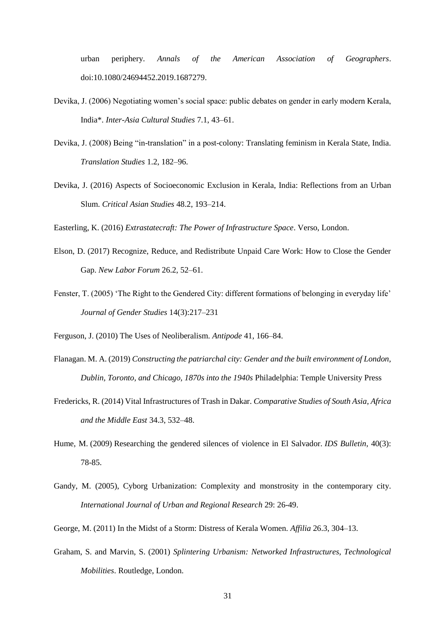urban periphery. *Annals of the American Association of Geographers*. doi:10.1080/24694452.2019.1687279.

- Devika, J. (2006) Negotiating women's social space: public debates on gender in early modern Kerala, India\*. *Inter-Asia Cultural Studies* 7.1, 43–61.
- Devika, J. (2008) Being "in-translation" in a post-colony: Translating feminism in Kerala State, India. *Translation Studies* 1.2, 182–96.
- Devika, J. (2016) Aspects of Socioeconomic Exclusion in Kerala, India: Reflections from an Urban Slum. *Critical Asian Studies* 48.2, 193–214.

Easterling, K. (2016) *Extrastatecraft: The Power of Infrastructure Space*. Verso, London.

- Elson, D. (2017) Recognize, Reduce, and Redistribute Unpaid Care Work: How to Close the Gender Gap. *New Labor Forum* 26.2, 52–61.
- Fenster, T. (2005) 'The Right to the Gendered City: different formations of belonging in everyday life' *Journal of Gender Studies* 14(3):217–231
- Ferguson, J. (2010) The Uses of Neoliberalism. *Antipode* 41, 166–84.
- Flanagan. M. A. (2019) *Constructing the patriarchal city: Gender and the built environment of London, Dublin, Toronto, and Chicago, 1870s into the 1940s* Philadelphia: Temple University Press
- Fredericks, R. (2014) Vital Infrastructures of Trash in Dakar. *Comparative Studies of South Asia, Africa and the Middle East* 34.3, 532–48.
- Hume, M. (2009) Researching the gendered silences of violence in El Salvador. *IDS Bulletin*, 40(3): 78-85.
- Gandy, M. (2005), Cyborg Urbanization: Complexity and monstrosity in the contemporary city. *International Journal of Urban and Regional Research* 29: 26-49.
- George, M. (2011) In the Midst of a Storm: Distress of Kerala Women. *Affilia* 26.3, 304–13.
- Graham, S. and Marvin, S. (2001) *Splintering Urbanism: Networked Infrastructures, Technological Mobilities*. Routledge, London.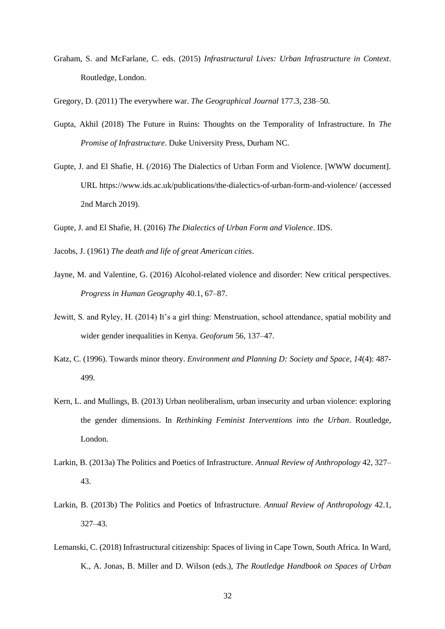- Graham, S. and McFarlane, C. eds. (2015) *Infrastructural Lives: Urban Infrastructure in Context*. Routledge, London.
- Gregory, D. (2011) The everywhere war. *The Geographical Journal* 177.3, 238–50.
- Gupta, Akhil (2018) The Future in Ruins: Thoughts on the Temporality of Infrastructure. In *The Promise of Infrastructure*. Duke University Press, Durham NC.
- Gupte, J. and El Shafie, H. (/2016) The Dialectics of Urban Form and Violence. [WWW document]. URL https://www.ids.ac.uk/publications/the-dialectics-of-urban-form-and-violence/ (accessed 2nd March 2019).

Gupte, J. and El Shafie, H. (2016) *The Dialectics of Urban Form and Violence*. IDS.

- Jacobs, J. (1961) *The death and life of great American cities*.
- Jayne, M. and Valentine, G. (2016) Alcohol-related violence and disorder: New critical perspectives. *Progress in Human Geography* 40.1, 67–87.
- Jewitt, S. and Ryley, H. (2014) It's a girl thing: Menstruation, school attendance, spatial mobility and wider gender inequalities in Kenya. *Geoforum* 56, 137–47.
- Katz, C. (1996). Towards minor theory. *Environment and Planning D: Society and Space*, *14*(4): 487- 499.
- Kern, L. and Mullings, B. (2013) Urban neoliberalism, urban insecurity and urban violence: exploring the gender dimensions. In *Rethinking Feminist Interventions into the Urban*. Routledge, London.
- Larkin, B. (2013a) The Politics and Poetics of Infrastructure. *Annual Review of Anthropology* 42, 327– 43.
- Larkin, B. (2013b) The Politics and Poetics of Infrastructure. *Annual Review of Anthropology* 42.1, 327–43.
- Lemanski, C. (2018) Infrastructural citizenship: Spaces of living in Cape Town, South Africa. In Ward, K., A. Jonas, B. Miller and D. Wilson (eds.), *The Routledge Handbook on Spaces of Urban*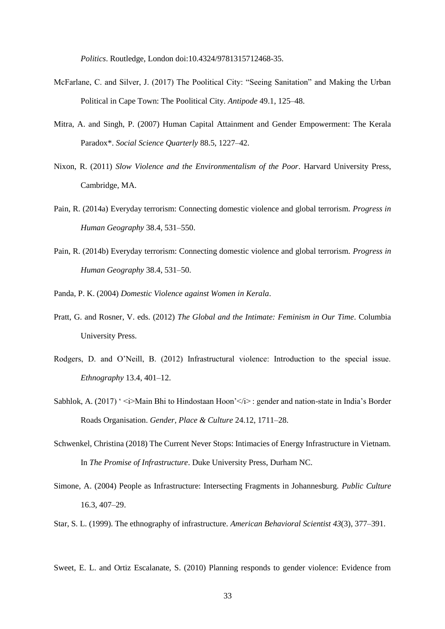*Politics*. Routledge, London doi:10.4324/9781315712468-35.

- McFarlane, C. and Silver, J. (2017) The Poolitical City: "Seeing Sanitation" and Making the Urban Political in Cape Town: The Poolitical City. *Antipode* 49.1, 125–48.
- Mitra, A. and Singh, P. (2007) Human Capital Attainment and Gender Empowerment: The Kerala Paradox\*. *Social Science Quarterly* 88.5, 1227–42.
- Nixon, R. (2011) *Slow Violence and the Environmentalism of the Poor*. Harvard University Press, Cambridge, MA.
- Pain, R. (2014a) Everyday terrorism: Connecting domestic violence and global terrorism. *Progress in Human Geography* 38.4, 531–550.
- Pain, R. (2014b) Everyday terrorism: Connecting domestic violence and global terrorism. *Progress in Human Geography* 38.4, 531–50.
- Panda, P. K. (2004) *Domestic Violence against Women in Kerala*.
- Pratt, G. and Rosner, V. eds. (2012) *The Global and the Intimate: Feminism in Our Time*. Columbia University Press.
- Rodgers, D. and O'Neill, B. (2012) Infrastructural violence: Introduction to the special issue. *Ethnography* 13.4, 401–12.
- Sabhlok, A. (2017) ' <i>Main Bhi to Hindostaan Hoon'</i>: gender and nation-state in India's Border Roads Organisation. *Gender, Place & Culture* 24.12, 1711–28.
- Schwenkel, Christina (2018) The Current Never Stops: Intimacies of Energy Infrastructure in Vietnam. In *The Promise of Infrastructure*. Duke University Press, Durham NC.
- Simone, A. (2004) People as Infrastructure: Intersecting Fragments in Johannesburg. *Public Culture* 16.3, 407–29.
- Star, S. L. (1999). The ethnography of infrastructure. *American Behavioral Scientist 43*(3), 377–391.

Sweet, E. L. and Ortiz Escalanate, S. (2010) Planning responds to gender violence: Evidence from